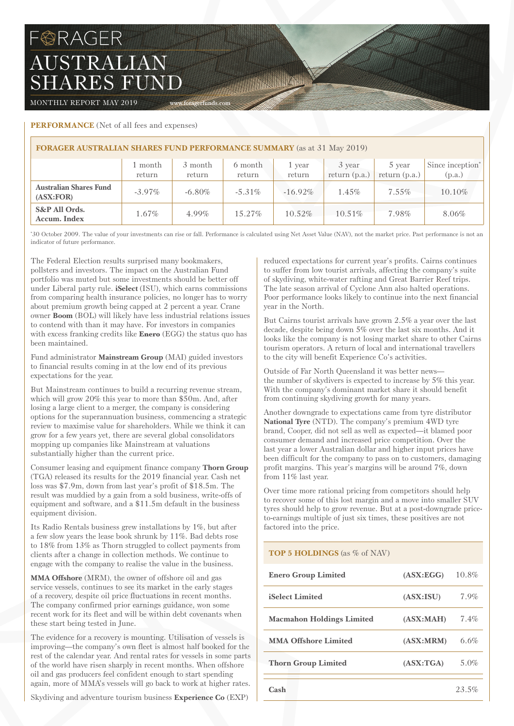# **BRAGER** AUSTRALIAN SHARES FUND

MONTHLY REPORT MAY 2019 WWW.foragerfunds.com

# **PERFORMANCE** (Net of all fees and expenses)

| <b>FORAGER AUSTRALIAN SHARES FUND PERFORMANCE SUMMARY</b> (as at 31 May 2019) |                   |                   |                   |                  |                           |                           |                            |  |  |
|-------------------------------------------------------------------------------|-------------------|-------------------|-------------------|------------------|---------------------------|---------------------------|----------------------------|--|--|
|                                                                               | 1 month<br>return | 3 month<br>return | 6 month<br>return | 1 year<br>return | 3 year<br>return $(p.a.)$ | 5 year<br>return $(p.a.)$ | Since inception*<br>(p.a.) |  |  |
| <b>Australian Shares Fund</b><br>(ASK:FOR)                                    | $-3.97\%$         | $-6.80\%$         | $-5.31\%$         | $-16.92\%$       | $1.45\%$                  | $7.55\%$                  | 10.10%                     |  |  |
| S&P All Ords.<br>Accum. Index                                                 | $1.67\%$          | 4.99%             | $15.27\%$         | 10.52%           | 10.51%                    | 7.98%                     | 8.06%                      |  |  |

William William

\* 30 October 2009. The value of your investments can rise or fall. Performance is calculated using Net Asset Value (NAV), not the market price. Past performance is not an indicator of future performance.

The Federal Election results surprised many bookmakers, pollsters and investors. The impact on the Australian Fund portfolio was muted but some investments should be better off under Liberal party rule. **iSelect** (ISU), which earns commissions from comparing health insurance policies, no longer has to worry about premium growth being capped at 2 percent a year. Crane owner **Boom** (BOL) will likely have less industrial relations issues to contend with than it may have. For investors in companies with excess franking credits like **Enero** (EGG) the status quo has been maintained.

Fund administrator **Mainstream Group** (MAI) guided investors to financial results coming in at the low end of its previous expectations for the year.

But Mainstream continues to build a recurring revenue stream, which will grow 20% this year to more than \$50m. And, after losing a large client to a merger, the company is considering options for the superannuation business, commencing a strategic review to maximise value for shareholders. While we think it can grow for a few years yet, there are several global consolidators mopping up companies like Mainstream at valuations substantially higher than the current price.

Consumer leasing and equipment finance company **Thorn Group** (TGA) released its results for the 2019 financial year. Cash net loss was \$7.9m, down from last year's profit of \$18.5m. The result was muddied by a gain from a sold business, write-offs of equipment and software, and a \$11.5m default in the business equipment division.

Its Radio Rentals business grew installations by 1%, but after a few slow years the lease book shrunk by 11%. Bad debts rose to 18% from 13% as Thorn struggled to collect payments from clients after a change in collection methods. We continue to engage with the company to realise the value in the business.

**MMA Offshore** (MRM), the owner of offshore oil and gas service vessels, continues to see its market in the early stages of a recovery, despite oil price fluctuations in recent months. The company confirmed prior earnings guidance, won some recent work for its fleet and will be within debt covenants when these start being tested in June.

The evidence for a recovery is mounting. Utilisation of vessels is improving—the company's own fleet is almost half booked for the rest of the calendar year. And rental rates for vessels in some parts of the world have risen sharply in recent months. When offshore oil and gas producers feel confident enough to start spending again, more of MMA's vessels will go back to work at higher rates.

Skydiving and adventure tourism business **Experience Co** (EXP)

reduced expectations for current year's profits. Cairns continues to suffer from low tourist arrivals, affecting the company's suite of skydiving, white-water rafting and Great Barrier Reef trips. The late season arrival of Cyclone Ann also halted operations. Poor performance looks likely to continue into the next financial year in the North.

But Cairns tourist arrivals have grown 2.5% a year over the last decade, despite being down 5% over the last six months. And it looks like the company is not losing market share to other Cairns tourism operators. A return of local and international travellers to the city will benefit Experience Co's activities.

Outside of Far North Queensland it was better news the number of skydivers is expected to increase by 5% this year. With the company's dominant market share it should benefit from continuing skydiving growth for many years.

Another downgrade to expectations came from tyre distributor **National Tyre** (NTD). The company's premium 4WD tyre brand, Cooper, did not sell as well as expected—it blamed poor consumer demand and increased price competition. Over the last year a lower Australian dollar and higher input prices have been difficult for the company to pass on to customers, damaging profit margins. This year's margins will be around 7%, down from 11% last year.

Over time more rational pricing from competitors should help to recover some of this lost margin and a move into smaller SUV tyres should help to grow revenue. But at a post-downgrade priceto-earnings multiple of just six times, these positives are not factored into the price.

# **TOP 5 HOLDINGS** (as % of NAV)

| <b>Enero Group Limited</b>       | (ASK:EGG)  | 10.8%   |
|----------------------------------|------------|---------|
| <b>iSelect Limited</b>           | (ASK:ISU)  | $7.9\%$ |
| <b>Macmahon Holdings Limited</b> | (ASK:MAH)  | $7.4\%$ |
| <b>MMA Offshore Limited</b>      | (ASK: MRM) | 6.6%    |
| <b>Thorn Group Limited</b>       | (ASK: TGA) | 5.0%    |
| Cash                             |            | 23.5%   |